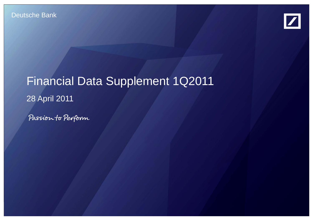

# Financial Data Supplement 1Q2011 28 April 2011 28 April

Passion to Perform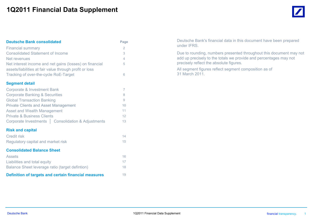# **1Q2011 Financial Data Supplement**

| <b>Deutsche Bank consolidated</b>                                                                                  | Page           |
|--------------------------------------------------------------------------------------------------------------------|----------------|
| <b>Financial summary</b>                                                                                           | $\overline{2}$ |
| <b>Consolidated Statement of Income</b>                                                                            | 3              |
| Net revenues                                                                                                       | 4              |
| Net interest income and net gains (losses) on financial<br>assets/liabilities at fair value through profit or loss | 5              |
| Tracking of over-the-cycle RoE-Target                                                                              | 6              |
| <b>Segment detail</b>                                                                                              |                |
| <b>Corporate &amp; Investment Bank</b>                                                                             | 7              |
| <b>Corporate Banking &amp; Securities</b>                                                                          | 8              |
| <b>Global Transaction Banking</b>                                                                                  | 9              |
| <b>Private Clients and Asset Management</b>                                                                        | 10             |
| <b>Asset and Wealth Management</b>                                                                                 | 11             |
| <b>Private &amp; Business Clients</b>                                                                              | 12             |
| Corporate Investments   Consolidation & Adjustments                                                                | 13             |
| <b>Risk and capital</b>                                                                                            |                |
| <b>Credit risk</b>                                                                                                 | 14             |
| Regulatory capital and market risk                                                                                 | 15             |
| <b>Consolidated Balance Sheet</b>                                                                                  |                |
| <b>Assets</b>                                                                                                      | 16             |
| Liabilities and total equity                                                                                       | 17             |
| Balance Sheet leverage ratio (target defintion)                                                                    | 18             |
| Definition of targets and certain financial measures                                                               | 19             |

Deutsche Bank's financial data in this document have been prepared under IFRS.

Due to rounding, numbers presented throughout this document may not add up precisely to the totals we provide and percentages may not precisely reflect the absolute figures.

All segment figures reflect segment composition as of 31 March 2011.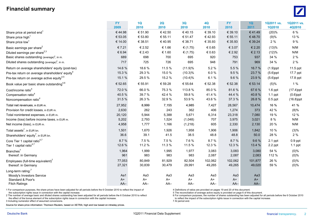## **Financial summary**



|                                                             | <b>FY</b><br>2009 | 1Q<br>2010 | 2Q<br>2010 | 3Q<br>2010 | <b>4Q</b><br>2010 | <b>FY</b><br>2010 | 1Q<br>2011 | 1Q2011 vs.<br><b>1Q2010</b> | 1Q2011 vs.<br>4Q2010 |
|-------------------------------------------------------------|-------------------|------------|------------|------------|-------------------|-------------------|------------|-----------------------------|----------------------|
| Share price at period end <sup>1</sup>                      | €44.98            | € 51.90    | €42.50     | €40.15     | € 39.10           | € 39.10           | €41.49     | (20)%                       | 6 %                  |
| Share price high <sup>1</sup>                               | € 53.05           | € 53.80    | € 55.11    | € 51.47    | €42.93            | € 55.11           | €48.70     | (9)%                        | 13 %                 |
| Share price low <sup>1</sup>                                | € 14.00           | € 38.51    | €40.95     | € 38.71    | € 35.93           | € 35.93           | € 39.24    | 2%                          | 9 %                  |
| Basic earnings per share <sup>2</sup>                       | € 7.21            | € 2.52     | € 1.66     | € $(1.75)$ | € 0.65            | € 3.07            | € 2.20     | (13)%                       | N/M                  |
| Diluted earnings per share <sup>2,3</sup>                   | € 6.94            | € 2.43     | € 1.60     | € $(1.75)$ | € 0.63            | € 2.92            | € 2.13     | (12)%                       | N/M                  |
| Basic shares outstanding (average) <sup>2</sup> , in m.     | 689               | 698        | 700        | 695        | 920               | 753               | 937        | 34 %                        | 2%                   |
| Diluted shares outstanding (average) <sup>2</sup> , in m.   | 717               | 725        | 726        | 695        | 948               | 791               | 969        | 34 %                        | 2%                   |
| Return on average shareholders' equity (post-tax)           | 14.6 %            | 18.6%      | 11.5 %     | (11.9)%    | 5.2 %             | 5.5 %             | 16.7 %     | $(1.9)$ ppt                 | 11.5 ppt             |
| Pre-tax return on average shareholders' equity <sup>4</sup> | 15.3 %            | 29.3 %     | 15.0%      | $(10.3)\%$ | 6.0%              | 9.5 %             | 23.7 %     | $(5.6)$ ppt                 | 17.7 ppt             |
| Pre-tax return on average active equity <sup>4,5</sup>      | 15.1 %            | 29.5 %     | 15.2 %     | $(10.4)\%$ | 6.1%              | 9.6%              | 23.9%      | $(5.6)$ ppt                 | 17.8 ppt             |
| Book value per basic share outstanding <sup>4,6</sup>       | € 52.65           | € 55.91    | € 59.28    | € 55.64    | € 52.38           | € 52.38           | € 53.14    | (5)%                        | 1%                   |
| Cost/income ratio <sup>4</sup>                              | 72.0%             | 66.0%      | 75.3 %     | 113.8 %    | 85.0%             | 81.6%             | 67.6%      | $1.6$ ppt                   | $(17.4)$ ppt         |
| Compensation ratio <sup>4</sup>                             | 40.5%             | 39.7%      | 42.4 %     | 59.8%      | 41.4 %            | 44.4 %            | 40.8%      | $1.1$ ppt                   | $(0.6)$ ppt          |
| Noncompensation ratio <sup>4</sup>                          | 31.5 %            | 26.3%      | 32.9%      | 53.9%      | 43.6%             | 37.3 %            | 26.8%      | $0.5$ ppt                   | $(16.8)$ ppt         |
| Total net revenues, in EUR m.                               | 27,952            | 8,999      | 7,155      | 4,985      | 7,427             | 28,567            | 10,474     | 16 %                        | 41 %                 |
| Provision for credit losses, in EUR m.                      | 2,630             | 262        | 243        | 362        | 406               | 1,274             | 373        | 42 %                        | (8)%                 |
| Total noninterest expenses, in EUR m.                       | 20,120            | 5,944      | 5,388      | 5,671      | 6,314             | 23,318            | 7,080      | 19 %                        | 12 %                 |
| Income (loss) before income taxes, in EUR m.                | 5,202             | 2,793      | 1,524      | (1,048)    | 707               | 3,975             | 3,021      | 8 %                         | N/M                  |
| Net income (loss), in EUR m.                                | 4,958             | 1,777      | 1,166      | (1, 218)   | 605               | 2,330             | 2,130      | 20 %                        | N/M                  |
| Total assets <sup>7</sup> , in EUR bn.                      | 1,501             | 1,670      | 1,926      | 1,958      | 1,906             | 1,906             | 1,842      | 10 %                        | (3)%                 |
| Shareholders' equity <sup>7</sup> , in EUR bn.              | 36.6              | 39.1       | 41.5       | 38.5       | 48.8              | 48.8              | 50.0       | 28 %                        | 2%                   |
| Core Tier 1 capital ratio <sup>4,7</sup>                    | 8.7%              | 7.5 %      | 7.5 %      | 7.6%       | 8.7%              | 8.7%              | 9.6%       | $2.1$ ppt                   | $0.9$ ppt            |
| Tier 1 capital ratio <sup>4,7</sup>                         | 12.6 %            | 11.2 %     | 11.3 %     | 11.5 %     | 12.3 %            | 12.3 %            | 13.4 %     | 2.2 ppt                     | $1.1$ ppt            |
| Branches <sup>7</sup>                                       | 1,964             | 1,999      | 1,995      | 1,977      | 3,083             | 3,083             | 3,080      | 54 %                        | $(0)\%$              |
| thereof: in Germany                                         | 961               | 983        | 983        | 983        | 2,087             | 2,087             | 2,083      | 112 %                       | $(0)\%$              |
| Employees (full-time equivalent) <sup>7</sup>               | 77,053            | 80,849     | 81,929     | 82,504     | 102,062           | 102,062           | 101,877    | 26 %                        | $(0)\%$              |
| thereof: in Germany                                         | 27,321            | 30,839     | 30,479     | 29,991     | 49,265            | 49,265            | 49,020     | 59 %                        | $(0)\%$              |
| Long-term rating: <sup>7</sup>                              |                   |            |            |            |                   |                   |            |                             |                      |
| Moody's Investors Service                                   | Aa1               | Aa3        | Aa3        | Aa3        | Aa3               | Aa3               | Aa3        |                             |                      |
| Standard & Poor's                                           | $A+$              | A+         | $A+$       | $A+$       | $A+$              | $A+$              | $A+$       |                             |                      |
| <b>Fitch Ratings</b>                                        | AA-               | AA-        | AA-        | AA-        | AA-               | $AA-$             | $AA-$      |                             |                      |

1 For comparison purposes, the share prices have been adjusted for all periods before the 6 October 2010 to reflect the impact of  $4$ Definitions of ratios are provided on pages 19 and 20 of this document.<br>The reconciliatio

2 The number of average basic and diluted shares outstanding has been adjusted for all periods before the 6 October 2010 to reflect 6 Comparison purposes, the number of shares outstanding has been adjusted for all periods the effect of the bonus element of the subscription rights issue in connection with the capital increase. The subscription rights issue in connection with the capital increase. The subscription rights issue in connection w

3 Including numerator effect of assumed conversions.

Source for share price information: Thomson Reuters, based on XETRA; high and low based on intraday prices.

5 The reconciliation of average active equity is provided on page 6 of this document.<br>6 For comparison purposes, the number of shares outstanding has been adjusted for all periods before the 6 October 2010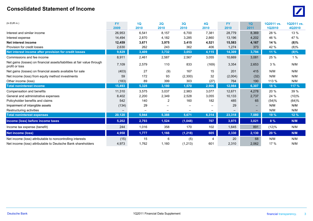#### **Consolidated Statement of Income** $\sim$  0.000  $\sim$  0.000  $\sim$  0.000  $\sim$  0.000  $\sim$  0.000  $\sim$  0.000  $\sim$  0.000  $\sim$  0.000  $\sim$  0.000  $\sim$  0.000  $\sim$  0.000  $\sim$  0.000  $\sim$  0.000  $\sim$  0.000  $\sim$  0.000  $\sim$  0.000  $\sim$  0.000  $\sim$  0.000  $\sim$  0.000  $\sim$  0.000



| $(ln$ EUR $m.$ )                                                                           | <b>FY</b><br>2009 | 1Q<br>2010 | 2Q<br>2010                   | 3Q<br>2010 | 4Q<br>2010                   | <b>FY</b><br>2010 | 10 <sub>o</sub><br>2011 | 1Q2011 vs.<br>1Q2010 | 1Q2011 vs.<br>4Q2010 |
|--------------------------------------------------------------------------------------------|-------------------|------------|------------------------------|------------|------------------------------|-------------------|-------------------------|----------------------|----------------------|
| Interest and similar income                                                                | 26,953            | 6,541      | 8,157                        | 6,700      | 7,381                        | 28,779            | 8,369                   | 28 %                 | 13 %                 |
| Interest expense                                                                           | 14,494            | 2,870      | 4,182                        | 3,285      | 2,860                        | 13,196            | 4,202                   | 46 %                 | 47 %                 |
| Net interest income                                                                        | 12,459            | 3,671      | 3,975                        | 3,415      | 4,521                        | 15,583            | 4,167                   | 14%                  | $(8)\%$              |
| Provision for credit losses                                                                | 2,630             | 262        | 243                          | 362        | 406                          | 1,274             | 373                     | 42 %                 | (8)%                 |
| Net interest income after provision for credit losses                                      | 9,829             | 3,409      | 3,732                        | 3,053      | 4,115                        | 14,309            | 3,794                   | 11 %                 | $(8)\%$              |
| Commissions and fee income                                                                 | 8,911             | 2,461      | 2,587                        | 2,567      | 3,055                        | 10,669            | 3,081                   | 25 %                 | 1%                   |
| Net gains (losses) on financial assets/liabilities at fair value through<br>profit or loss | 7,109             | 2,579      | 110                          | 833        | (169)                        | 3,354             | 2,653                   | 3%                   | N/M                  |
| Net gains (losses) on financial assets available for sale                                  | (403)             | 27         | (9)                          | 167        | 15                           | 201               | 415                     | N/M                  | N/M                  |
| Net income (loss) from equity method investments                                           | 59                | 172        | 93                           | (2,300)    | 32                           | (2,004)           | (32)                    | N/M                  | N/M                  |
| Other income (loss)                                                                        | (183)             | 89         | 399                          | 303        | (27)                         | 764               | 190                     | 113 %                | N/M                  |
| <b>Total noninterest income</b>                                                            | 15,493            | 5,328      | 3,180                        | 1,570      | 2,906                        | 12,984            | 6,307                   | 18%                  | 117 %                |
| Compensation and benefits                                                                  | 11,310            | 3,575      | 3,037                        | 2,983      | 3,077                        | 12,671            | 4,278                   | 20 %                 | 39 %                 |
| General and administrative expenses                                                        | 8,402             | 2,200      | 2,349                        | 2,528      | 3,055                        | 10,133            | 2,737                   | 24 %                 | (10)%                |
| Policyholder benefits and claims                                                           | 542               | 140        | 2                            | 160        | 182                          | 485               | 65                      | (54)%                | (64)%                |
| Impairment of intangible assets                                                            | (134)             | 29         |                              |            |                              | 29                |                         | N/M                  | N/M                  |
| Restructuring activities                                                                   | $\qquad \qquad -$ |            | $\qquad \qquad \blacksquare$ |            | $\qquad \qquad \blacksquare$ |                   |                         | N/M                  | N/M                  |
| <b>Total noninterest expenses</b>                                                          | 20,120            | 5,944      | 5,388                        | 5,671      | 6,314                        | 23,318            | 7,080                   | 19 %                 | 12%                  |
| Income (loss) before income taxes                                                          | 5,202             | 2,793      | 1,524                        | (1,048)    | 707                          | 3,975             | 3,021                   | 8 %                  | N/M                  |
| Income tax expense (benefit)                                                               | 244               | 1,016      | 358                          | 170        | 102                          | 1,645             | 891                     | (12)%                | N/M                  |
| <b>Net income (loss)</b>                                                                   | 4,958             | 1,777      | 1,166                        | (1, 218)   | 605                          | 2,330             | 2,130                   | 20 %                 | N/M                  |
| Net income (loss) attributable to noncontrolling interests                                 | (15)              | 15         | 6                            | (5)        | 4                            | 20                | 68                      | N/M                  | N/M                  |
| Net income (loss) attributable to Deutsche Bank shareholders                               | 4,973             | 1,762      | 1,160                        | (1, 213)   | 601                          | 2,310             | 2,062                   | 17 %                 | N/M                  |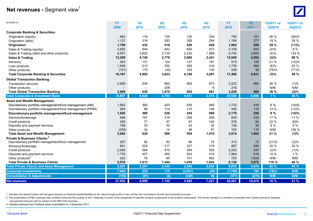# **Net revenues - Segment view<sup>1</sup>**



| (In EUR m.)                                              | <b>FY</b> | 1Q       | 2Q    | 3Q      | 4Q    | <b>FY</b> | 1Q     | 1Q2011 vs. | 1Q2011 vs. |
|----------------------------------------------------------|-----------|----------|-------|---------|-------|-----------|--------|------------|------------|
|                                                          | 2009      | 2010     | 2010  | 2010    | 2010  | 2010      | 2011   | 1Q2010     | 4Q2010     |
| <b>Corporate Banking &amp; Securities:</b>               |           |          |       |         |       |           |        |            |            |
| Origination (equity)                                     | 663       | 116      | 135   | 120     | 334   | 706       | 181    | 56 %       | (46)%      |
| Origination (debt)                                       | 1,127     | 316      | 283   | 306     | 294   | 1,199     | 377    | 19 %       | 28 %       |
| Origination                                              | 1,790     | 432      | 418   | 426     | 628   | 1,904     | 558    | 29 %       | (11)%      |
| Sales & Trading (equity)                                 | 2,650     | 944      | 642   | 650     | 872   | 3,108     | 943    | $(0)\%$    | 8 %        |
| Sales & Trading (debt and other products)                | 9,557     | 3,802    | 2,134 | 2,235   | 1,569 | 9,740     | 3,650  | (4)%       | 133 %      |
| <b>Sales &amp; Trading</b>                               | 12,208    | 4,746    | 2,776 | 2,886   | 2,441 | 12,849    | 4,593  | (3)%       | 88 %       |
| Advisory                                                 | 402       | 131      | 124   | 137     | 181   | 573       | 159    | 21 %       | (12)%      |
| Loan products                                            | 1,949     | 513      | 350   | 556     | 316   | 1,736     | 484    | (6)%       | 53 %       |
| Other products                                           | (151)     | 170      | (35)  | 163     | 130   | 428       | 38     | (78)%      | (71)%      |
| <b>Total Corporate Banking &amp; Securities</b>          | 16,197    | 5,992    | 3,633 | 4,169   | 3,697 | 17,490    | 5,831  | $(3)\%$    | 58 %       |
| <b>Global Transaction Banking:</b>                       |           |          |       |         |       |           |        |            |            |
| <b>Transaction services</b>                              | 2,609     | 636      | 862   | 852     | 873   | 3,223     | 865    | 36 %       | (1)%       |
| Other products                                           |           | $\equiv$ | 208   |         | 8     | 216       |        | N/M        | N/M        |
| <b>Total Global Transaction Banking</b>                  | 2,609     | 636      | 1,070 | 852     | 881   | 3,439     | 865    | 36 %       | (2)%       |
| <b>Total Corporate &amp; Investment Bank</b>             | 18,807    | 6,628    | 4,703 | 5,021   | 4,578 | 20,929    | 6,696  | 1%         | 46 %       |
| <b>Asset and Wealth Management:</b>                      |           |          |       |         |       |           |        |            |            |
| Discretionary portfolio management/fund management (AM)  | 1,562     | 392      | 423   | 435     | 483   | 1,733     | 416    | 6 %        | (14)%      |
| Discretionary portfolio management/fund management (PWM) | 264       | 96       | 114   | 110     | 126   | 446       | 110    | 14 %       | (12)%      |
| Discretionary portfolio management/fund management       | 1,826     | 488      | 536   | 545     | 609   | 2,178     | 526    | 8 %        | (14)%      |
| Advisory/brokerage                                       | 689       | 197      | 219   | 206     | 208   | 830       | 230    | 17 %       | 11 %       |
| Credit products                                          | 255       | 77       | 97    | 97      | 104   | 376       | 94     | 22 %       | (9)%       |
| Deposits and payment services                            | 169       | 33       | 30    | 43      | 32    | 138       | 35     | 8 %        | 9 %        |
| Other products                                           | (255)     | 34       | 14    | 48      | 57    | 152       | 116    | N/M        | 106 %      |
| <b>Total Asset and Wealth Management</b>                 | 2,685     | 829      | 896   | 939     | 1,010 | 3,674     | 1,002  | 21 %       | (1)%       |
| Private & Business Clients: <sup>2</sup>                 |           |          |       |         |       |           |        |            |            |
| Discretionary portfolio management/fund management       | 257       | 92       | 82    | 66      | 74    | 313       | 72     | (21)%      | (2)%       |
| Advisory/brokerage                                       | 841       | 224      | 217   | 227     | 219   | 887       | 290    | 30 %       | 32 %       |
| Credit products                                          | 2,280     | 564      | 575   | 559     | 555   | 2,253     | 547    | (3)%       | (1)%       |
| Deposits and payment services                            | 1,776     | 457      | 490   | 502     | 514   | 1,964     | 519    | 14 %       | 1%         |
| Other products <sup>3</sup>                              | 422       | 76       | 80    | 101     | 463   | 720       | 1,644  | N/M        | N/M        |
| <b>Total Private &amp; Business Clients</b>              | 5,576     | 1,412    | 1,444 | 1,455   | 1,824 | 6,136     | 3,072  | 118 %      | 68 %       |
| <b>Total Private Clients and Asset Management</b>        | 8,261     | 2,241    | 2,340 | 2,394   | 2,834 | 9,810     | 4,074  | 82 %       | 44 %       |
| <b>Corporate Investments</b>                             | 1,044     | 220      | 115   | (2,091) | (40)  | (1,796)   | 180    | (18)%      | N/M        |
| <b>Consolidation &amp; Adjustments</b>                   | (159)     | (91)     | (4)   | (338)   | 56    | (377)     | (476)  | N/M        | N/M        |
| <b>Net revenues</b>                                      | 27,952    | 8,999    | 7,155 | 4,985   | 7,427 | 28,567    | 10,474 | 16 %       | 41 %       |

1 Includes net interest income and net gains (losses) on financial assets/liabilities at fair value through profit or loss, net fee and commission income and remaining revenues.

2 The presentation of PBC revenues was modified during the first quarter of 2011 following a review of the assignment of specific revenue components to the product components. The review resulted in a transfer of revenues and payment services with no impact on the PBC total revenues.

3 Includes revenues from Postbank since consolidation on 3 December 2010. 3 Includes revenues from Postbank consolidation on 3 December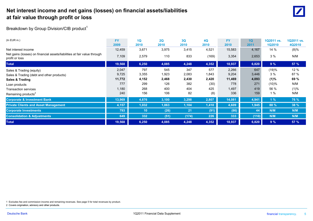## **Net interest income and net gains (losses) on financial assets/liabilities at fair value through profit or loss** <sup>0</sup>



Breakdown by Group Division/CIB product<sup>1</sup>

| $(In$ EUR $m.)$                                                                            | <b>FY</b> | 1Q              | 2Q    | 3Q    | <b>4Q</b> | <b>FY</b> | 1Q    | 1Q2011 vs.    | 1Q2011 vs.  |
|--------------------------------------------------------------------------------------------|-----------|-----------------|-------|-------|-----------|-----------|-------|---------------|-------------|
|                                                                                            | 2009      | 2010            | 2010  | 2010  | 2010      | 2010      | 2011  | <b>1Q2010</b> | 4Q2010      |
| Net interest income                                                                        | 12,459    | 3,671           | 3,975 | 3,415 | 4,521     | 15,583    | 4,167 | 14%           | $(8)\%$     |
| Net gains (losses) on financial assets/liabilities at fair value through<br>profit or loss | 7,109     | 2,579           | 110   | 833   | (169)     | 3,354     | 2,653 | 3%            | N/M         |
| <b>Total</b>                                                                               | 19,568    | 6,250           | 4,085 | 4,248 | 4,352     | 18,937    | 6,820 | 9%            | 57 %        |
| Sales & Trading (equity)                                                                   | 2,047     | 797             | 545   | 347   | 577       | 2,266     | 647   | (19)%         | 12 %        |
| Sales & Trading (debt and other products)                                                  | 9,725     | 3,355           | 1,923 | 2,083 | 1,843     | 9,204     | 3,446 | 3%            | 87 %        |
| <b>Sales &amp; Trading</b>                                                                 | 11,772    | 4,152           | 2,468 | 2,430 | 2,420     | 11,469    | 4,093 | (1)%          | 69 %        |
| Loan products                                                                              | 777       | 299             | 126   | 382   | (30)      | 778       | 271   | (10)%         | N/M         |
| <b>Transaction services</b>                                                                | 1,180     | 268             | 400   | 404   | 425       | 1,497     | 419   | 56 %          | (1)%        |
| Remaining products <sup>2</sup>                                                            | 240       | 156             | 106   | 82    | (8)       | 336       | 159   | 1%            | N/M         |
| <b>Corporate &amp; Investment Bank</b>                                                     | 13,969    | 4,876           | 3,100 | 3,298 | 2,807     | 14,081    | 4,941 | 1%            | 76 %        |
| <b>Private Clients and Asset Management</b>                                                | 4,157     | 1,032           | 1,063 | 1,104 | 1,410     | 4,609     | 1,945 | 88 %          | <b>38 %</b> |
| <b>Corporate Investments</b>                                                               | 793       | 10 <sup>°</sup> | (26)  | 21    | (91)      | (86)      | 44    | N/M           | N/M         |
| <b>Consolidation &amp; Adjustments</b>                                                     | 649       | 332             | (51)  | (174) | 226       | 333       | (110) | N/M           | N/M         |
| <b>Total</b>                                                                               | 19,568    | 6,250           | 4,085 | 4,248 | 4,352     | 18,937    | 6,820 | 9%            | 57%         |

1 Excludes fee and commission income and remaining revenues. See page 5 for total revenues by product.

2 Covers origination, advisory and other products.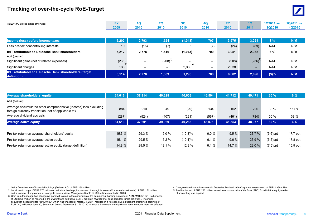## **Tracking of over-the-cycle RoE-Target** <sup>0</sup>



| (In EUR m., unless stated otherwise) | <b>CV</b> |      |      |      |      | EV   | 10 <sup>1</sup> | 1Q2011 vs.    | 1Q2011 vs. |
|--------------------------------------|-----------|------|------|------|------|------|-----------------|---------------|------------|
|                                      | 2009      | 2010 | 2010 | 2010 | 2010 | 2010 | 2011            | <b>1Q2010</b> | 4Q2010     |

| Income (loss) before income taxes                                              | 5.202           | 2,793                    | 1,524                    | (1,048) | 707                      | 3.975 | 3.021                    | 8%   | N/M |
|--------------------------------------------------------------------------------|-----------------|--------------------------|--------------------------|---------|--------------------------|-------|--------------------------|------|-----|
| Less pre-tax noncontrolling interests                                          | 10 <sup>1</sup> | (15)                     | (7)                      | đ       | (7)                      | (24)  | (89)                     | N/M  | N/M |
| <b>IBIT attributable to Deutsche Bank shareholders</b><br>Add (deduct):        | 5,212           | 2,778                    | 1,516                    | (1,043) | 700                      | 3,951 | 2,932                    | 6%   | N/M |
| Significant gains (net of related expenses)                                    | (236)           | $\overline{\phantom{0}}$ | $(208)^3$                | -       | $\overline{\phantom{m}}$ | (208) | (236)                    | N/M  | N/M |
| Significant charges                                                            | 138             | $\overline{\phantom{0}}$ | $\overline{\phantom{m}}$ | 2.338   | -                        | 2,338 | $\overline{\phantom{0}}$ | N/M  | N/M |
| <b>IBIT attributable to Deutsche Bank shareholders (target)</b><br>definition) | 5,114           | 2.778                    | 1,309                    | 1,295   | 700                      | 6,082 | 2.696                    | (3)% | N/M |

| <b>Average shareholders' equity</b>                                                                                    | 34.016 | 37.914 | 40,328 | 40,608     | 46,504 | 41.712 | 49,471 | 30%         | 6%         |
|------------------------------------------------------------------------------------------------------------------------|--------|--------|--------|------------|--------|--------|--------|-------------|------------|
| Add (deduct):                                                                                                          |        |        |        |            |        |        |        |             |            |
| Average accumulated other comprehensive (income) loss excluding<br>foreign currency translation, net of applicable tax | 884    | 210    | 49     | (29)       | 134    | 102    | 290    | 38 %        | 117 %      |
| Average dividend accruals                                                                                              | (287)  | (524)  | (407)  | (291)      | (567)  | (461)  | (784)  | 50 %        | 38 %       |
| <b>Average active equity</b>                                                                                           | 34,613 | 37,601 | 39,969 | 40,288     | 46,071 | 41,353 | 48,977 | 30%         | 6%         |
|                                                                                                                        |        |        |        |            |        |        |        |             |            |
| Pre-tax return on average shareholders' equity                                                                         | 15.3 % | 29.3 % | 15.0 % | $(10.3)\%$ | 6.0%   | 9.5%   | 23.7 % | $(5.6)$ ppt | 17.7 ppt   |
| Pre-tax return on average active equity                                                                                | 15.1 % | 29.5 % | 15.2 % | $(10.4)\%$ | 6.1%   | 9.6%   | 23.9 % | $(5.6)$ ppt | 17.8 ppt   |
| Pre-tax return on average active equity (target definition)                                                            | 14.8%  | 29.5 % | 13.1 % | 12.9 %     | 6.1%   | 14.7 % | 22.0 % | $(7.5)$ ppt | $15.9$ ppt |

- 2 Impairment charge of EUR 278 million on industrial holdings, impairment of intangible assets (Corporate Investments) of EUR 151 million 6 5 Positive impact of EUR 236 and a reversal of impairment of intangible assets (As and a reversal of impairment of intangible assets (Asset Management) of EUR 291 million recorded in 4Q08.
- 3 Gain from the recognition of negative goodwill related to the acquisition of the commercial banking activities of ABN AMRO in the Netherlands of EUR 208 million as reported in the 2Q2010 and additional EUR 8 million in 4Q2010 (not considered for target definition). The initial acquisition accounting for ABN AMRO, which was finalized at March 31, 2011, resulted in a retrospective adjustment of retained earnings of EUR (24) million for June 30, September 30 and December 31, 2010. 2010 Income Statement and significant items numbers were not affected.<br>
Deutsche Bank financial transparency. 6

1 Gains from the sale of industrial holdings (Daimler AG) of EUR 236 million.<br>2 Impairment charge of EUR 278 million on industrial holdings, impairment of intangible assets (Corporate Investments) of EUR 151 million<br>2 Impa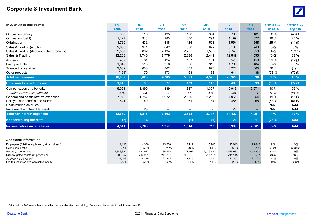## **Corporate & Investment Bank**



| 663<br>116<br>120<br>334<br>706<br>56 %<br>(46)%<br>135<br>181<br>Origination (equity)<br>1,127<br>316<br>306<br>294<br>377<br>19 %<br>28 %<br>283<br>1,199<br>Origination (debt)<br>432<br>418<br>426<br>628<br>29 %<br>(11)%<br>1,790<br>1,904<br>558<br>Origination<br>8 %<br>944<br>642<br>650<br>872<br>Sales & Trading (equity)<br>2,650<br>3,108<br>943<br>$(0)\%$<br>2,134<br>1,569<br>133 %<br>9,557<br>3,802<br>2,235<br>9,740<br>3,650<br>(4)%<br>Sales & Trading (debt and other products)<br>2,776<br>2,886<br>88 %<br><b>Sales &amp; Trading</b><br>12,208<br>4,746<br>2,441<br>12,849<br>4,593<br>(3)%<br>402<br>124<br>137<br>181<br>21 %<br>(12)%<br>131<br>573<br>159<br>Advisory<br>513<br>556<br>1,949<br>350<br>316<br>1,736<br>484<br>(6)%<br>53 %<br>Loan products<br>852<br>2,609<br>636<br>862<br>873<br>36 %<br>(1)%<br><b>Transaction services</b><br>3,223<br>865<br>163<br>138<br>170<br>173<br>644<br>38<br>(73)%<br>Other products<br>(151)<br>(78)%<br>6,628<br>4,703<br>5,021<br>4,578<br>20,929<br>6,696<br>1%<br>46 %<br>18,807<br><b>Total net revenues</b><br>1,816<br><b>Provision for credit losses</b><br>90<br>77<br>179<br>143<br>488<br>33<br>(63)%<br>(77)%<br>1,389<br>1,327<br>10 %<br>56 %<br>5,061<br>1,890<br>1,337<br>5,943<br>2,071<br>Compensation and benefits<br>176<br>286<br>145<br>23<br>33<br>54<br>34<br>47 %<br>$(81)$ %<br>therein: Severance payments<br>1,757<br>2,206<br>7,072<br>1,972<br>2,030<br>1,954<br>11 %<br>(11)%<br>General and administrative expenses<br>7,965<br>161<br>Policyholder benefits and claims<br>541<br>140<br>184<br>486<br>65<br>(53)%<br>(64)%<br>N/M<br>N/M<br>Restructuring activities<br>29<br>5<br>29<br>N/M<br>N/M<br>Impairment of intangible assets<br>$\overline{\phantom{0}}$<br>$\overline{\phantom{m}}$<br>3,528<br>3,717<br>14,422<br>4,091<br>7%<br><b>Total noninterest expenses</b><br>12,679<br>3,816<br>3,362<br>10 %<br>(2)<br>20<br><b>Noncontrolling interests</b><br>$\overline{7}$<br>(1)<br>(1)<br>11<br>(23)%<br>N/M<br>14<br>4,314<br>719<br>5,999<br>2,561<br>2,708<br>1,257<br>1,314<br>(5)%<br>N/M<br>Income before income taxes<br><b>Additional information</b><br>9 %<br>14,190<br>14,380<br>15,608<br>16,111<br>15,943<br>15,943<br>15,642<br>(2)%<br>Employees (full-time equivalent, at period end)<br>81%<br>67 %<br>58 %<br>71 %<br>70 %<br>69 %<br>61 %<br>Cost/income ratio<br>3 ppt<br>$(20)$ ppt<br>1,735,668<br>1,519,983<br>Assets (at period end)<br>1,343,824<br>1,483,087<br>1,774,404<br>1,519,983<br>1,458,950<br>(2)%<br>(4)% | (In EUR m., unless stated otherwise) | <b>FY</b><br>2009 | 1Q<br>2010 | 2Q<br>2010 | 3Q<br>2010 | <b>4Q</b><br>2010 | <b>FY</b><br>2010 | 1Q<br>2011 | 1Q2011 vs.<br><b>1Q2010</b> | 1Q2011 vs.<br>4Q2010 |
|--------------------------------------------------------------------------------------------------------------------------------------------------------------------------------------------------------------------------------------------------------------------------------------------------------------------------------------------------------------------------------------------------------------------------------------------------------------------------------------------------------------------------------------------------------------------------------------------------------------------------------------------------------------------------------------------------------------------------------------------------------------------------------------------------------------------------------------------------------------------------------------------------------------------------------------------------------------------------------------------------------------------------------------------------------------------------------------------------------------------------------------------------------------------------------------------------------------------------------------------------------------------------------------------------------------------------------------------------------------------------------------------------------------------------------------------------------------------------------------------------------------------------------------------------------------------------------------------------------------------------------------------------------------------------------------------------------------------------------------------------------------------------------------------------------------------------------------------------------------------------------------------------------------------------------------------------------------------------------------------------------------------------------------------------------------------------------------------------------------------------------------------------------------------------------------------------------------------------------------------------------------------------------------------------------------------------------------------------------------------------------------------------------------------------------------------------------------------------------------------------------------------------------------------------------------------------|--------------------------------------|-------------------|------------|------------|------------|-------------------|-------------------|------------|-----------------------------|----------------------|
|                                                                                                                                                                                                                                                                                                                                                                                                                                                                                                                                                                                                                                                                                                                                                                                                                                                                                                                                                                                                                                                                                                                                                                                                                                                                                                                                                                                                                                                                                                                                                                                                                                                                                                                                                                                                                                                                                                                                                                                                                                                                                                                                                                                                                                                                                                                                                                                                                                                                                                                                                                          |                                      |                   |            |            |            |                   |                   |            |                             |                      |
|                                                                                                                                                                                                                                                                                                                                                                                                                                                                                                                                                                                                                                                                                                                                                                                                                                                                                                                                                                                                                                                                                                                                                                                                                                                                                                                                                                                                                                                                                                                                                                                                                                                                                                                                                                                                                                                                                                                                                                                                                                                                                                                                                                                                                                                                                                                                                                                                                                                                                                                                                                          |                                      |                   |            |            |            |                   |                   |            |                             |                      |
|                                                                                                                                                                                                                                                                                                                                                                                                                                                                                                                                                                                                                                                                                                                                                                                                                                                                                                                                                                                                                                                                                                                                                                                                                                                                                                                                                                                                                                                                                                                                                                                                                                                                                                                                                                                                                                                                                                                                                                                                                                                                                                                                                                                                                                                                                                                                                                                                                                                                                                                                                                          |                                      |                   |            |            |            |                   |                   |            |                             |                      |
|                                                                                                                                                                                                                                                                                                                                                                                                                                                                                                                                                                                                                                                                                                                                                                                                                                                                                                                                                                                                                                                                                                                                                                                                                                                                                                                                                                                                                                                                                                                                                                                                                                                                                                                                                                                                                                                                                                                                                                                                                                                                                                                                                                                                                                                                                                                                                                                                                                                                                                                                                                          |                                      |                   |            |            |            |                   |                   |            |                             |                      |
|                                                                                                                                                                                                                                                                                                                                                                                                                                                                                                                                                                                                                                                                                                                                                                                                                                                                                                                                                                                                                                                                                                                                                                                                                                                                                                                                                                                                                                                                                                                                                                                                                                                                                                                                                                                                                                                                                                                                                                                                                                                                                                                                                                                                                                                                                                                                                                                                                                                                                                                                                                          |                                      |                   |            |            |            |                   |                   |            |                             |                      |
|                                                                                                                                                                                                                                                                                                                                                                                                                                                                                                                                                                                                                                                                                                                                                                                                                                                                                                                                                                                                                                                                                                                                                                                                                                                                                                                                                                                                                                                                                                                                                                                                                                                                                                                                                                                                                                                                                                                                                                                                                                                                                                                                                                                                                                                                                                                                                                                                                                                                                                                                                                          |                                      |                   |            |            |            |                   |                   |            |                             |                      |
|                                                                                                                                                                                                                                                                                                                                                                                                                                                                                                                                                                                                                                                                                                                                                                                                                                                                                                                                                                                                                                                                                                                                                                                                                                                                                                                                                                                                                                                                                                                                                                                                                                                                                                                                                                                                                                                                                                                                                                                                                                                                                                                                                                                                                                                                                                                                                                                                                                                                                                                                                                          |                                      |                   |            |            |            |                   |                   |            |                             |                      |
|                                                                                                                                                                                                                                                                                                                                                                                                                                                                                                                                                                                                                                                                                                                                                                                                                                                                                                                                                                                                                                                                                                                                                                                                                                                                                                                                                                                                                                                                                                                                                                                                                                                                                                                                                                                                                                                                                                                                                                                                                                                                                                                                                                                                                                                                                                                                                                                                                                                                                                                                                                          |                                      |                   |            |            |            |                   |                   |            |                             |                      |
|                                                                                                                                                                                                                                                                                                                                                                                                                                                                                                                                                                                                                                                                                                                                                                                                                                                                                                                                                                                                                                                                                                                                                                                                                                                                                                                                                                                                                                                                                                                                                                                                                                                                                                                                                                                                                                                                                                                                                                                                                                                                                                                                                                                                                                                                                                                                                                                                                                                                                                                                                                          |                                      |                   |            |            |            |                   |                   |            |                             |                      |
|                                                                                                                                                                                                                                                                                                                                                                                                                                                                                                                                                                                                                                                                                                                                                                                                                                                                                                                                                                                                                                                                                                                                                                                                                                                                                                                                                                                                                                                                                                                                                                                                                                                                                                                                                                                                                                                                                                                                                                                                                                                                                                                                                                                                                                                                                                                                                                                                                                                                                                                                                                          |                                      |                   |            |            |            |                   |                   |            |                             |                      |
|                                                                                                                                                                                                                                                                                                                                                                                                                                                                                                                                                                                                                                                                                                                                                                                                                                                                                                                                                                                                                                                                                                                                                                                                                                                                                                                                                                                                                                                                                                                                                                                                                                                                                                                                                                                                                                                                                                                                                                                                                                                                                                                                                                                                                                                                                                                                                                                                                                                                                                                                                                          |                                      |                   |            |            |            |                   |                   |            |                             |                      |
|                                                                                                                                                                                                                                                                                                                                                                                                                                                                                                                                                                                                                                                                                                                                                                                                                                                                                                                                                                                                                                                                                                                                                                                                                                                                                                                                                                                                                                                                                                                                                                                                                                                                                                                                                                                                                                                                                                                                                                                                                                                                                                                                                                                                                                                                                                                                                                                                                                                                                                                                                                          |                                      |                   |            |            |            |                   |                   |            |                             |                      |
|                                                                                                                                                                                                                                                                                                                                                                                                                                                                                                                                                                                                                                                                                                                                                                                                                                                                                                                                                                                                                                                                                                                                                                                                                                                                                                                                                                                                                                                                                                                                                                                                                                                                                                                                                                                                                                                                                                                                                                                                                                                                                                                                                                                                                                                                                                                                                                                                                                                                                                                                                                          |                                      |                   |            |            |            |                   |                   |            |                             |                      |
|                                                                                                                                                                                                                                                                                                                                                                                                                                                                                                                                                                                                                                                                                                                                                                                                                                                                                                                                                                                                                                                                                                                                                                                                                                                                                                                                                                                                                                                                                                                                                                                                                                                                                                                                                                                                                                                                                                                                                                                                                                                                                                                                                                                                                                                                                                                                                                                                                                                                                                                                                                          |                                      |                   |            |            |            |                   |                   |            |                             |                      |
|                                                                                                                                                                                                                                                                                                                                                                                                                                                                                                                                                                                                                                                                                                                                                                                                                                                                                                                                                                                                                                                                                                                                                                                                                                                                                                                                                                                                                                                                                                                                                                                                                                                                                                                                                                                                                                                                                                                                                                                                                                                                                                                                                                                                                                                                                                                                                                                                                                                                                                                                                                          |                                      |                   |            |            |            |                   |                   |            |                             |                      |
|                                                                                                                                                                                                                                                                                                                                                                                                                                                                                                                                                                                                                                                                                                                                                                                                                                                                                                                                                                                                                                                                                                                                                                                                                                                                                                                                                                                                                                                                                                                                                                                                                                                                                                                                                                                                                                                                                                                                                                                                                                                                                                                                                                                                                                                                                                                                                                                                                                                                                                                                                                          |                                      |                   |            |            |            |                   |                   |            |                             |                      |
|                                                                                                                                                                                                                                                                                                                                                                                                                                                                                                                                                                                                                                                                                                                                                                                                                                                                                                                                                                                                                                                                                                                                                                                                                                                                                                                                                                                                                                                                                                                                                                                                                                                                                                                                                                                                                                                                                                                                                                                                                                                                                                                                                                                                                                                                                                                                                                                                                                                                                                                                                                          |                                      |                   |            |            |            |                   |                   |            |                             |                      |
|                                                                                                                                                                                                                                                                                                                                                                                                                                                                                                                                                                                                                                                                                                                                                                                                                                                                                                                                                                                                                                                                                                                                                                                                                                                                                                                                                                                                                                                                                                                                                                                                                                                                                                                                                                                                                                                                                                                                                                                                                                                                                                                                                                                                                                                                                                                                                                                                                                                                                                                                                                          |                                      |                   |            |            |            |                   |                   |            |                             |                      |
|                                                                                                                                                                                                                                                                                                                                                                                                                                                                                                                                                                                                                                                                                                                                                                                                                                                                                                                                                                                                                                                                                                                                                                                                                                                                                                                                                                                                                                                                                                                                                                                                                                                                                                                                                                                                                                                                                                                                                                                                                                                                                                                                                                                                                                                                                                                                                                                                                                                                                                                                                                          |                                      |                   |            |            |            |                   |                   |            |                             |                      |
|                                                                                                                                                                                                                                                                                                                                                                                                                                                                                                                                                                                                                                                                                                                                                                                                                                                                                                                                                                                                                                                                                                                                                                                                                                                                                                                                                                                                                                                                                                                                                                                                                                                                                                                                                                                                                                                                                                                                                                                                                                                                                                                                                                                                                                                                                                                                                                                                                                                                                                                                                                          |                                      |                   |            |            |            |                   |                   |            |                             |                      |
|                                                                                                                                                                                                                                                                                                                                                                                                                                                                                                                                                                                                                                                                                                                                                                                                                                                                                                                                                                                                                                                                                                                                                                                                                                                                                                                                                                                                                                                                                                                                                                                                                                                                                                                                                                                                                                                                                                                                                                                                                                                                                                                                                                                                                                                                                                                                                                                                                                                                                                                                                                          |                                      |                   |            |            |            |                   |                   |            |                             |                      |
|                                                                                                                                                                                                                                                                                                                                                                                                                                                                                                                                                                                                                                                                                                                                                                                                                                                                                                                                                                                                                                                                                                                                                                                                                                                                                                                                                                                                                                                                                                                                                                                                                                                                                                                                                                                                                                                                                                                                                                                                                                                                                                                                                                                                                                                                                                                                                                                                                                                                                                                                                                          |                                      |                   |            |            |            |                   |                   |            |                             |                      |
|                                                                                                                                                                                                                                                                                                                                                                                                                                                                                                                                                                                                                                                                                                                                                                                                                                                                                                                                                                                                                                                                                                                                                                                                                                                                                                                                                                                                                                                                                                                                                                                                                                                                                                                                                                                                                                                                                                                                                                                                                                                                                                                                                                                                                                                                                                                                                                                                                                                                                                                                                                          |                                      |                   |            |            |            |                   |                   |            |                             |                      |
|                                                                                                                                                                                                                                                                                                                                                                                                                                                                                                                                                                                                                                                                                                                                                                                                                                                                                                                                                                                                                                                                                                                                                                                                                                                                                                                                                                                                                                                                                                                                                                                                                                                                                                                                                                                                                                                                                                                                                                                                                                                                                                                                                                                                                                                                                                                                                                                                                                                                                                                                                                          |                                      |                   |            |            |            |                   |                   |            |                             |                      |
|                                                                                                                                                                                                                                                                                                                                                                                                                                                                                                                                                                                                                                                                                                                                                                                                                                                                                                                                                                                                                                                                                                                                                                                                                                                                                                                                                                                                                                                                                                                                                                                                                                                                                                                                                                                                                                                                                                                                                                                                                                                                                                                                                                                                                                                                                                                                                                                                                                                                                                                                                                          |                                      |                   |            |            |            |                   |                   |            |                             |                      |
|                                                                                                                                                                                                                                                                                                                                                                                                                                                                                                                                                                                                                                                                                                                                                                                                                                                                                                                                                                                                                                                                                                                                                                                                                                                                                                                                                                                                                                                                                                                                                                                                                                                                                                                                                                                                                                                                                                                                                                                                                                                                                                                                                                                                                                                                                                                                                                                                                                                                                                                                                                          |                                      |                   |            |            |            |                   |                   |            |                             |                      |
|                                                                                                                                                                                                                                                                                                                                                                                                                                                                                                                                                                                                                                                                                                                                                                                                                                                                                                                                                                                                                                                                                                                                                                                                                                                                                                                                                                                                                                                                                                                                                                                                                                                                                                                                                                                                                                                                                                                                                                                                                                                                                                                                                                                                                                                                                                                                                                                                                                                                                                                                                                          | Risk-weighted assets (at period end) | 203,962           | 207,251    | 217,397    | 200,916    | 211,115           | 211,115           | 191,537    | (8)%                        | (9)%                 |
| 21,403<br>19,135<br>22,353<br>22,315<br>21,741<br>21,120<br>10 %<br>21,357<br>(3)%<br>Average active equity <sup>1</sup><br>57 %<br>24 %<br>20%<br>22 %<br>13 %<br>28 %<br>49 %<br>Pre-tax return on average active equity<br>$(8)$ ppt<br>36 ppt                                                                                                                                                                                                                                                                                                                                                                                                                                                                                                                                                                                                                                                                                                                                                                                                                                                                                                                                                                                                                                                                                                                                                                                                                                                                                                                                                                                                                                                                                                                                                                                                                                                                                                                                                                                                                                                                                                                                                                                                                                                                                                                                                                                                                                                                                                                        |                                      |                   |            |            |            |                   |                   |            |                             |                      |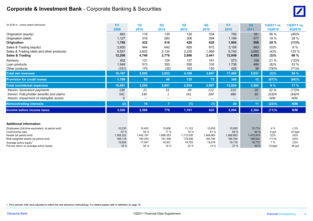| (In EUR m., unless stated otherwise)            | <b>FY</b> | 1Q        | 2Q             | 3Q        | <b>4Q</b> | <b>FY</b> | 1Q        | 1Q2011 vs. | 1Q2011 vs. |
|-------------------------------------------------|-----------|-----------|----------------|-----------|-----------|-----------|-----------|------------|------------|
|                                                 | 2009      | 2010      | 2010           | 2010      | 2010      | 2010      | 2011      | 1Q2010     | 4Q2010     |
| Origination (equity)                            | 663       | 116       | 135            | 120       | 334       | 706       | 181       | 56 %       | (46)%      |
| Origination (debt)                              | 1,127     | 316       | 283            | 306       | 294       | 1,199     | 377       | 19 %       | 28 %       |
| Origination                                     | 1,790     | 432       | 418            | 426       | 628       | 1,904     | 558       | 29 %       | (11)%      |
| Sales & Trading (equity)                        | 2,650     | 944       | 642            | 650       | 872       | 3,108     | 943       | $(0)\%$    | 8 %        |
| Sales & Trading (debt and other products)       | 9,557     | 3,802     | 2,134          | 2,235     | 1,569     | 9,740     | 3,650     | (4)%       | 133 %      |
| Sales & Trading                                 | 12,208    | 4,746     | 2,776          | 2,886     | 2,441     | 12,849    | 4,593     | $(3)\%$    | 88 %       |
| Advisory                                        | 402       | 131       | 124            | 137       | 181       | 573       | 159       | 21 %       | (12)%      |
| Loan products                                   | 1,949     | 513       | 350            | 556       | 316       | 1,736     | 484       | (6)%       | 53 %       |
| Other products                                  | (151)     | 170       | (35)           | 163       | 130       | 428       | 38        | (78)%      | (71)%      |
| <b>Total net revenues</b>                       | 16,197    | 5,992     | 3,633          | 4,169     | 3,697     | 17,490    | 5,831     | (3)%       | 58 %       |
| <b>Provision for credit losses</b>              | 1,789     | 93        | 46             | 135       | 75        | 348       | 12        | (87)%      | (84)%      |
| <b>Total noninterest expenses</b>               | 10,891    | 3,295     | 2,801          | 2,934     | 2,997     | 12,028    | 3,504     | 6%         | 17%        |
| therein: Severance payments                     | 138       | 21        | 33             | 49        | 112       | 215       | 26        | 22 %       | (77)%      |
| therein: Policyholder benefits and claims       | 541       | 140       |                | 161       | 184       | 486       | 65        | (53)%      | (64)%      |
| therein: Impairment of intangible assets        | 5         | —         | —              |           |           |           |           | N/M        | N/M        |
| <b>Noncontrolling interests</b>                 | (2)       | 14        | $\overline{7}$ | (1)       | (1)       | 20        | 11        | (23)%      | N/M        |
| Income before income taxes                      | 3,520     | 2,589     | 779            | 1,101     | 625       | 5,094     | 2,304     | (11)%      | N/M        |
|                                                 |           |           |                |           |           |           |           |            |            |
| <b>Additional information</b>                   |           |           |                |           |           |           |           |            |            |
| Employees (full-time equivalent, at period end) | 10,233    | 10,403    | 10,606         | 11,123    | 10,935    | 10,935    | 10,774    | 4 %        | (1)%       |
| Cost/income ratio                               | 67 %      | 55 %      | 77 %           | 70 %      | 81%       | 69 %      | 60 %      | 5 ppt      | $(21)$ ppt |
| Assets (at period end)                          | 1,308,222 | 1,442,197 | 1,686,353      | 1,712,030 | 1,468,863 | 1,468,863 | 1,410,919 | (2)%       | (4)%       |
| Risk-weighted assets (at period end)            | 188,118   | 190,343   | 191,306        | 175,836   | 185,784   | 185,784   | 168,932   | (11)%      | (9)%       |
| Average active equity                           | 19,858    | 17,547    | 19,931         | 19,752    | 19,276    | 19,116    | 18,772    | 7%         | (3)%       |
| Pre-tax return on average active equity         | 18 %      | 59 %      | 16 %           | 22 %      | 13 %      | 27 %      | 49 %      | $(10)$ ppt | 36 ppt     |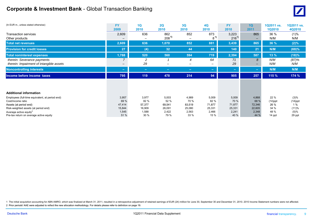## **Corporate & Investment Bank** - Global Transaction Banking



| (In EUR m., unless stated otherwise)            | <b>FY</b>                | 1Q             | 2Q                       | 3Q     | 4Q      | <b>FY</b> | 1Q                       | 1Q2011 vs. | 1Q2011 vs. |
|-------------------------------------------------|--------------------------|----------------|--------------------------|--------|---------|-----------|--------------------------|------------|------------|
|                                                 | 2009                     | 2010           | 2010                     | 2010   | 2010    | 2010      | 2011                     | 1Q2010     | 4Q2010     |
| <b>Transaction services</b>                     | 2,609                    | 636            | 862                      | 852    | 873     | 3,223     | 865                      | 36 %       | (1)%       |
| Other products                                  | -                        | -              | 208 <sup>1</sup>         |        | $8^{1}$ | $216^{1}$ |                          | N/M        | N/M        |
| <b>Total net revenues</b>                       | 2,609                    | 636            | 1,070                    | 852    | 881     | 3,439     | 865                      | 36 %       | (2)%       |
| <b>Provision for credit losses</b>              | 27                       | (4)            | 32                       | 44     | 68      | 140       | 21                       | N/M        | (69)%      |
| <b>Total noninterest expenses</b>               | 1,788                    | 520            | 560                      | 594    | 719     | 2,394     | 587                      | 13 %       | (18)%      |
| therein: Severance payments                     | $\overline{\phantom{0}}$ | $\overline{c}$ |                          | 4      | 64      | 71        | 8                        | N/M        | (87)%      |
| therein: Impairment of intangible assets        | $\overline{\phantom{m}}$ | 29             | $\overline{\phantom{a}}$ | -      |         | 29        | $\overline{\phantom{0}}$ | N/M        | N/M        |
| <b>Noncontrolling interests</b>                 | ÷                        | $\equiv$       | $\equiv$                 | $\sim$ | $\sim$  | $\sim$    | $\sim$                   | N/M        | N/M        |
| Income before income taxes                      | 795                      | 119            | 478                      | 214    | 94      | 905       | 257                      | 115 %      | 174 %      |
|                                                 |                          |                |                          |        |         |           |                          |            |            |
|                                                 |                          |                |                          |        |         |           |                          |            |            |
| <b>Additional information</b>                   |                          |                |                          |        |         |           |                          |            |            |
| Employees (full-time equivalent, at period end) | 3,957                    | 3,977          | 5,003                    | 4,989  | 5,009   | 5,009     | 4,868                    | 22 %       | (3)%       |
| Cost/income ratio                               | 69 %                     | 82 %           | 52 %                     | 70 %   | 82 %    | 70 %      | 68 %                     | $(14)$ ppt | $(14)$ ppt |
| Assets (at period end)                          | 47,414                   | 57,377         | 69,541                   | 83,519 | 71,877  | 71,877    | 72,346                   | 26 %       | 1%         |
| Risk-weighted assets (at period end)            | 15,844                   | 16,909         | 26,091                   | 25,080 | 25,331  | 25,331    | 22,605                   | 34 %       | (11)%      |
| Average active equity <sup>2</sup>              | 1,545                    | 1,588          | 2,422                    | 2,563  | 2,466   | 2,241     | 2,348                    | 48 %       | (5)%       |
| Pre-tax return on average active equity         | 51 %                     | 30 %           | 79 %                     | 33 %   | 15 %    | 40 %      | 44 %                     | 14 ppt     | 29 ppt     |

1 The initial acquisition accounting for ABN AMRO, which was finalized at March 31, 2011, resulted in a retrospective adjustment of retained earnings of EUR (24) million for June 30, September 30 and December 31, 2010. 201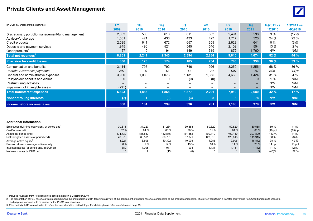## **Private Clients and Asset Management**



| (In EUR m., unless stated otherwise)                                          | <b>FY</b>    | 1Q          | 2Q             | 3Q             | <b>4Q</b>      | <b>FY</b>     | 1Q             | 1Q2011 vs.     | 1Q2011 vs.     |
|-------------------------------------------------------------------------------|--------------|-------------|----------------|----------------|----------------|---------------|----------------|----------------|----------------|
|                                                                               | 2009         | 2010        | 2010           | 2010           | 2010           | 2010          | 2011           | <b>1Q2010</b>  | 4Q2010         |
| Discretionary portfolio management/fund management                            | 2,083        | 580         | 618            | 611            | 683            | 2,491         | 598            | 3%             | (12)%          |
| Advisory/brokerage                                                            | 1,531        | 421         | 436            | 433            | 427            | 1,717         | 520            | 24 %           | 22 %           |
| Credit products                                                               | 2,535        | 641         | 672            | 657            | 659            | 2,628         | 641            | $0\%$          | (3)%           |
| Deposits and payment services                                                 | 1,945        | 490         | 521            | 545            | 546            | 2,102         | 554            | 13 %           | 2%             |
| Other products <sup>1</sup>                                                   | 167          | 110         | 94             | 149            | 519            | 872           | 1,760          | N/M            | N/M            |
| Total net revenues <sup>2</sup>                                               | 8,261        | 2,241       | 2,340          | 2,394          | 2,834          | 9,810         | 4,074          | 82 %           | 44 %           |
| <b>Provision for credit losses</b>                                            | 806          | 173         | 174            | 185            | 254            | 785           | 338            | 96 %           | 33 %           |
| Compensation and benefits                                                     | 3,114        | 795         | 792            | 746            | 926            | 3,259         | 1,256          | 58 %           | 36 %           |
| therein: Severance payments                                                   | 297          | 6           | 12             | 47             | 70             | 135           | 60             | N/M            | (14)%          |
| General and administrative expenses                                           | 3,980        | 1,088       | 1,076          | 1,131          | 1,365          | 4,660         | 1,424          | 31 %           | 4 %            |
| Policyholder benefits and claims                                              | n            | 0           | $\Omega$       | (0)            | (0)            | $\Omega$      | $\Omega$       | 1%             | N/M            |
| Restructuring activities                                                      |              |             |                |                |                |               |                | N/M            | N/M            |
| Impairment of intangible assets                                               | (291)        |             |                |                |                |               |                | N/M            | N/M            |
| <b>Total noninterest expenses</b>                                             | 6,803        | 1,883       | 1,868          | 1,877          | 2,291          | 7,919         | 2,680          | 42 %           | 17 %           |
| <b>Noncontrolling interests</b>                                               | (7)          |             | (0)            | (3)            | 8              | 6             | 78             | N/M            | N/M            |
| Income before income taxes                                                    | 658          | 184         | 299            | 336            | 281            | 1,100         | 978            | N/M            | N/M            |
|                                                                               |              |             |                |                |                |               |                |                |                |
| <b>Additional information</b>                                                 |              |             |                |                |                |               |                |                |                |
| Employees (full-time equivalent, at period end)                               | 30,611       | 31,727      | 31,284         | 30,888         | 50,820         | 50,820        | 50,558         | 59 %           | (1)%           |
| Cost/income ratio                                                             | 82 %         | 84 %        | 80 %           | 78 %           | 81 %           | 81 %          | 66 %           | $(18)$ ppt     | $(15)$ ppt     |
| Assets (at period end)                                                        | 174,739      | 186,830     | 182,876        | 184,552        | 400,110        | 400,110       | 397,800        | 113 %          | (1)%           |
| Risk-weighted assets (at period end)                                          | 49,073       | 60,561      | 60,731         | 57,071         | 123,613        | 123,613       | 119,915        | 98 %           | (3)%           |
| Average active equity <sup>3</sup><br>Pre-tax return on average active equity | 8,224<br>8 % | 8,505<br>9% | 10,302<br>12 % | 10,035<br>13 % | 11,285<br>10 % | 9,906<br>11 % | 16,812<br>23 % | 98 %<br>14 ppt | 49 %<br>13 ppt |
| Invested assets (at period end, in EUR bn.)                                   | 880          | 1,005       | 1,017          | 994            | 1,131          | 1,131         | 1,112          | 11 %           | (2)%           |
| Net new money (in EUR bn.)                                                    | 13           | 9           | (15)           | (0)            | 8              |               |                | (43)%          | (32)%          |

1 Includes revenues from Postbank since consolidation on 3 December 2010.

2 The presentation of PBC revenues was modified during the first quarter of 2011 following a review of the assignment of specific revenue components to the product components. The review resulted in a transfer of revenues and payment services with no impact on the PCAM total revenues.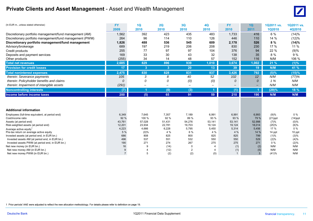## **Private Clients and Asset Management** - Asset and Wealth Management



| (In EUR m., unless stated otherwise)                                          | <b>FY</b>      | 1Q               | 2Q                | 3Q                       | <b>4Q</b>                | <b>FY</b>    | 1Q              | 1Q2011 vs.    | 1Q2011 vs. |
|-------------------------------------------------------------------------------|----------------|------------------|-------------------|--------------------------|--------------------------|--------------|-----------------|---------------|------------|
|                                                                               | 2009           | 2010             | 2010              | 2010                     | 2010                     | 2010         | 2011            | <b>1Q2010</b> | 4Q2010     |
| Discretionary portfolio management/fund management (AM)                       | 1,562          | 392              | 423               | 435                      | 483                      | 1,733        | 416             | 6 %           | (14)%      |
| Discretionary portfolio management/fund management (PWM)                      | 264            | 96               | 114               | 110                      | 126                      | 446          | 110             | 14 %          | (12)%      |
| Discretionary portfolio management/fund management                            | 1,826          | 488              | 536               | 545                      | 609                      | 2,178        | 526             | 8%            | (14)%      |
| Advisory/brokerage                                                            | 689            | 197              | 219               | 206                      | 208                      | 830          | 230             | 17%           | 11 %       |
| Credit products                                                               | 255            | 77               | 97                | 97                       | 104                      | 376          | 94              | 22 %          | (9)%       |
| Deposits and payment services                                                 | 169            | 33               | 30                | 43                       | 32                       | 138          | 35              | 8 %           | 9 %        |
| Other products                                                                | (255)          | 34               | 14                | 48                       | 57                       | 152          | 116             | N/M           | 106 %      |
| <b>Total net revenues</b>                                                     | 2,685          | 829              | 896               | 939                      | 1,010                    | 3,674        | 1,002           | 21%           | (1)%       |
| <b>Provision for credit losses</b>                                            | 17             | 3                | 3                 | 20                       | 13                       | 39           | 19 <sub>1</sub> | N/M           | 41 %       |
| <b>Total noninterest expenses</b>                                             | 2,475          | 830              | 828               | 831                      | 937                      | 3,426        | 792             | (5)%          | (15)%      |
| therein: Severance payments                                                   | 105            | 3                | 8                 | 40                       | 52                       | 102          | 12              | N/M           | (77)%      |
| therein: Policyholder benefits and claims                                     | $\Omega$       | 0                | 0                 | (0)                      | (0)                      | 0            | 0               | 1%            | N/M        |
| therein: Impairment of intangible assets                                      | (291)          |                  | $\qquad \qquad -$ | $\overline{\phantom{0}}$ | $\overline{\phantom{0}}$ |              |                 | N/M           | N/M        |
| <b>Noncontrolling interests</b>                                               | (7)            |                  | (0)               | (3)                      |                          | (1)          |                 | (29)%         | 18 %       |
| Income before income taxes                                                    | 200            | (5)              | 65                | 91                       | 59                       | 210          | 190             | N/M           | N/M        |
|                                                                               |                |                  |                   |                          |                          |              |                 |               |            |
| <b>Additional information</b>                                                 |                |                  |                   |                          |                          |              |                 |               |            |
| Employees (full-time equivalent, at period end)                               | 6,349          | 7,645            | 7,357             | 7,189                    | 6,991                    | 6,991        | 6,993           | (9)%          | $0\%$      |
| Cost/income ratio                                                             | 92 %           | 100 %            | 92 %              | 89 %                     | 93 %                     | 93 %         | 79 %            | $(21)$ ppt    | $(14)$ ppt |
| Assets (at period end)                                                        | 43,761         | 57,028           | 51,431            | 54,276                   | 53,141                   | 53,141       | 52,998          | (7)%          | $(0)\%$    |
| Risk-weighted assets (at period end)                                          | 12,201         | 23,934           | 22,781            | 19,703<br>5,795          | 19,124                   | 19,124       | 18,014          | (25)%<br>17 % | (6)%<br>0% |
| Average active equity <sup>1</sup><br>Pre-tax return on average active equity | 4,223<br>5 %   | 4,666<br>$(0)\%$ | 6,228<br>4 %      | 6 %                      | 5,450<br>4 %             | 5,314<br>4 % | 5,456<br>14 %   | 14 ppt        | 10 ppt     |
| Invested assets (at period end, in EUR bn.)                                   | 686            | 808              | 825               | 800                      | 825                      | 825          | 799             | (1)%          | (3)%       |
| Invested assets AM (at period end, in EUR bn.)                                | 496            | 537              | 551               | 532                      | 550                      | 550          | 529             | (2)%          | (4)%       |
| Invested assets PWM (at period end, in EUR bn.)                               | 190            | 271              | 274               | 267                      | 275                      | 275          | 271             | $0\%$         | (2)%       |
| Net new money (in EUR bn.)                                                    | 16             |                  | (14)              | 0                        |                          | (1)          | (2)             | N/M           | N/M        |
| Net new money AM (in EUR bn.)                                                 |                |                  | (12)              | $\overline{2}$           | 4                        | (1)          | (5)             | N/M           | N/M        |
| Net new money PWM (in EUR bn.)                                                | $\overline{7}$ | 5                | (2)               | (2)                      | (0)                      |              | $\mathbf{3}$    | (41)%         | N/M        |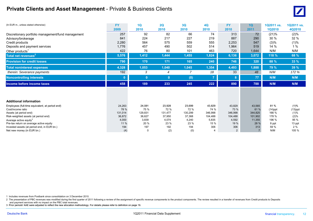## **Private Clients and Asset Management** - Private & Business Clients



| (In EUR m., unless stated otherwise)                                 | <b>FY</b>      | 1Q             | 2Q             | 3Q             | <b>4Q</b>      | <b>FY</b>      | 1Q             | 1Q2011 vs.        | 1Q2011 vs.         |
|----------------------------------------------------------------------|----------------|----------------|----------------|----------------|----------------|----------------|----------------|-------------------|--------------------|
|                                                                      | 2009           | 2010           | 2010           | 2010           | 2010           | 2010           | 2011           | <b>1Q2010</b>     | 4Q2010             |
| Discretionary portfolio management/fund management                   | 257            | 92             | 82             | 66             | 74             | 313            | 72             | (21)%             | (2)%               |
| Advisory/brokerage                                                   | 841            | 224            | 217            | 227            | 219            | 887            | 290            | 30 %              | 32 %               |
| Credit products                                                      | 2,280          | 564            | 575            | 559            | 555            | 2,253          | 547            | (3)%              | (1)%               |
| Deposits and payment services                                        | 1,776          | 457            | 490            | 502            | 514            | 1,964          | 519            | 14 %              | 1%                 |
| Other products <sup>1</sup>                                          | 422            | 76             | 80             | 101            | 463            | 720            | 1,644          | N/M               | N/M                |
| Total net revenues <sup>2</sup>                                      | 5,576          | 1,412          | 1,444          | 1,455          | 1,824          | 6,136          | 3,072          | 118 %             | 68 %               |
| <b>Provision for credit losses</b>                                   | 790            | 170            | 171            | 165            | 240            | 746            | 320            | 88 %              | 33%                |
| <b>Total noninterest expenses</b>                                    | 4,328          | 1,053          | 1,040          | 1,045          | 1,354          | 4,493          | 1,888          | 79 %              | 39 %               |
| therein: Severance payments                                          | 192            | 3              | 4              | 7              | 18             | 33             | 48             | N/M               | 172 %              |
| <b>Noncontrolling interests</b>                                      |                | $\mathbf{0}$   | $\mathbf{0}$   | (0)            |                | 8              | 77             | N/M               | N/M                |
| Income before income taxes                                           | 458            | 189            | 233            | 245            | 222            | 890            | 788            | N/M               | N/M                |
|                                                                      |                |                |                |                |                |                |                |                   |                    |
| <b>Additional information</b>                                        |                |                |                |                |                |                |                |                   |                    |
|                                                                      |                |                |                |                |                |                |                |                   |                    |
| Employees (full-time equivalent, at period end)<br>Cost/income ratio | 24,263<br>78 % | 24,081<br>75 % | 23,928<br>72 % | 23,699<br>72 % | 43,829<br>74 % | 43,829<br>73 % | 43,565<br>61 % | 81%<br>$(14)$ ppt | (1)%               |
| Assets (at period end)                                               | 131,014        | 129,831        | 131,477        | 130,299        | 346,998        | 346,998        | 344,825        | 166 %             | $(13)$ ppt<br>(1)% |
| Risk-weighted assets (at period end)                                 | 36,872         | 36,627         | 37,950         | 37,368         | 104,488        | 104,488        | 101,902        | 178 %             | (2)%               |
| Average active equity <sup>3</sup>                                   | 4,000          | 3,839          | 4,074          | 4,240          | 5,835          | 4,592          | 11,355         | 196 %             | 95 %               |
| Pre-tax return on average active equity                              | 11 %           | 20 %           | 23 %           | 23 %           | 15 %           | 19 %           | 28 %           | 8 ppt             | 13 ppt             |
| Invested assets (at period end, in EUR bn.)                          | 194            | 197            | 192            | 194            | 306            | 306            | 313            | 59 %              | 2%                 |
| Net new money (in EUR bn.)                                           |                |                | (2)            | (0)            |                | 2              |                | N/M               | 105 %              |

1 Includes revenues from Postbank since consolidation on 3 December 2010.

2 The presentation of PBC revenues was modified during the first quarter of 2011 following a review of the assignment of specific revenue components to the product components. The review resulted in a transfer of revenues

and payment services with no impact on the PBC total revenues.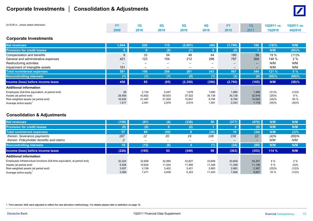## **Corporate Investments │ Consolidation & Adjustments**



| (In EUR m., unless stated otherwise) |      | 1Q . | 20   | 30 <sup>°</sup> | $\overline{40}$ | <b>EXAMPLE 10</b> |      | 1Q2011 vs. 1Q2011 vs. |        |
|--------------------------------------|------|------|------|-----------------|-----------------|-------------------|------|-----------------------|--------|
|                                      | 2009 | 2010 | 2010 | 2010            | 2010            | 2010              | 2011 | 1Q2010                | 4Q2010 |

### **Corporate Investments**

| <b>Net revenues</b>                             | 1,044  | 220                      | 115                      | (2,091)  | (40)                     | (1,796) | 180                          | (18)% | N/M   |
|-------------------------------------------------|--------|--------------------------|--------------------------|----------|--------------------------|---------|------------------------------|-------|-------|
| <b>Provision for credit losses</b>              | 8      |                          | (8)                      | (1)      |                          | (0)     |                              | N/M   | (82)% |
| Compensation and benefits                       | 9      | 33                       | 54                       | 48       | 44                       | 180     | 39                           | 19 %  | (11)% |
| General and administrative expenses             | 421    | 123                      | 154                      | 212      | 298                      | 787     | 304                          | 148 % | 2%    |
| Restructuring activities                        | -      |                          | $\overline{\phantom{0}}$ |          | $\overline{\phantom{0}}$ | -       | $\qquad \qquad \blacksquare$ | N/M   | N/M   |
| Impairment of intangible assets                 | 151    | $\overline{\phantom{a}}$ | $\overline{\phantom{0}}$ |          | $\overline{\phantom{0}}$ | -       | $\overline{\phantom{0}}$     | N/M   | N/M   |
| <b>Total noninterest expenses</b>               | 581    | 156                      | 208                      | 261      | 343                      | 967     | 344                          | 121 % | 0%    |
| <b>Noncontrolling interests</b>                 | (1)    | (1)                      | (1)                      | (0)      | (1)                      | (2)     | (0)                          | (95)% | (98)% |
| Income (loss) before income taxes               | 456    | 65                       | (85)                     | (2, 350) | (390)                    | (2,760) | 165                          | N/M   | (58)% |
| <b>Additional information</b>                   |        |                          |                          |          |                          |         |                              |       |       |
| Employees (full-time equivalent, at period end) | 28     | 2,134                    | 2,047                    | 1,678    | 1,690                    | 1,690   | 1,469                        | (31)% | (13)% |
| Assets (at period end)                          | 28,456 | 43,802                   | 50,633                   | 37,522   | 30,138                   | 30,138  | 32,916                       | (25)% | 9%    |
| Risk-weighted assets (at period end)            | 16,935 | 21,497                   | 21,930                   | 15,657   | 8,794                    | 8,794   | 14,055                       | (35)% | 60 %  |
| Average active equity                           | 1,917  | 2,491                    | 2,676                    | 2,615    | 1,591                    | 2,243   | 1,118                        | (55)% | (30)% |

### **Consolidation & Adjustments**

| <b>Net revenues</b>                                                      | (159)           | (91)                     | (4)    | (338)  | 56     | (377)           | (476)                    | N/M     | N/M     |
|--------------------------------------------------------------------------|-----------------|--------------------------|--------|--------|--------|-----------------|--------------------------|---------|---------|
| <b>Provision for credit losses</b>                                       | (0)             | (0)                      |        | (0)    |        |                 |                          | N/M     | N/M     |
| Total noninterest expenses                                               | 57              | 89                       | (50)   |        | (36)   | 10 <sup>°</sup> | (34)                     | N/M     | $(3)\%$ |
| therein: Severance payments                                              | 187             | 12                       | 20     | 19     | 108    | 159             | 12                       | $(4)\%$ | (89)%   |
| therein: Policyholder benefits and claims                                |                 | $\overline{\phantom{0}}$ | -      |        | -      |                 | $\overline{\phantom{a}}$ | N/M     | N/M     |
| <b>Noncontrolling interests</b>                                          | 10 <sub>1</sub> | (15)                     | (6)    |        | (7)    | (24)            | (89)                     | N/M     | N/M     |
| Income (loss) before income taxes                                        | (226)           | (165)                    | 53     | (349)  | 98     | (363)           | (353)                    | 114%    | N/M     |
| <b>Additional information</b>                                            |                 |                          |        |        |        |                 |                          |         |         |
| Employees Infrastructure functions (full-time equivalent, at period end) | 32,224          | 32,608                   | 32,990 | 33.827 | 33,609 | 33,609          | 34,207                   | 5%      | 2%      |
| Assets (at period end)                                                   | 9,556           | 10,624                   | 11,524 | 11,550 | 11,348 | 11,348          | 11,136                   | 5 %     | (2)%    |
| Risk-weighted assets (at period end)                                     | 3,507           | 3,158                    | 3,402  | 3,421  | 2,683  | 2,683           | 2,367                    | (25)%   | (12)%   |
| Average active equity <sup>1</sup>                                       | 3,069           | 7,471                    | 4,638  | 5,323  | 11,453 | 7,848           | 9,927                    | 33 %    | (13)%   |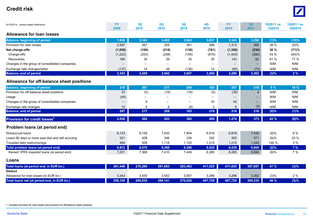#### **Credit risk** $\mathbf K$



#### **Loans**

| Total loans (at period end, in EUR bn.)     | 261.448 | 270.290 | 291.683 | 283.483 | 411.025 | 411.025 <b>II</b> | 397.697 | 47 % | (3)% |
|---------------------------------------------|---------|---------|---------|---------|---------|-------------------|---------|------|------|
| <b>Deduct</b>                               |         |         |         |         |         |                   |         |      |      |
| Allowance for loan losses (in EUR bn.)      | 3,343   | 3,455   | 3,542   | 3,657   | 3,296   | 3,296             | 3,362   | (3)% | 2%   |
| Total loans net (at period end, in EUR bn.) | 258,105 | 266,835 | 288,141 | 279,826 | 407,729 | 407.729           | 394.335 | 48 % | (3)% |

1 Includes provision for loan losses and provision for off-balance sheet positions.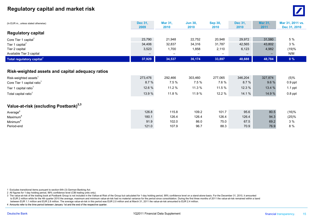## **Regulatory capital and market risk** <sup>0</sup>



| (In EUR m., unless stated otherwise)              | Dec 31,<br>2009 | Mar 31,<br>2010 | <b>Jun 30,</b><br>2010 | Sep 30,<br>2010 | Dec 31,<br>2010 | <b>Mar 31,</b><br>2011 | Mar 31, 2011 vs.<br>Dec 31, 2010 |
|---------------------------------------------------|-----------------|-----------------|------------------------|-----------------|-----------------|------------------------|----------------------------------|
| <b>Regulatory capital</b>                         |                 |                 |                        |                 |                 |                        |                                  |
| Core Tier 1 capital <sup>1</sup>                  | 23,790          | 21,948          | 22,752                 | 20,948          | 29,972          | 31,580                 | 5 %                              |
| Tier 1 capital <sup>1</sup>                       | 34,406          | 32,837          | 34,316                 | 31,787          | 42,565          | 43,802                 | 3%                               |
| Tier 2 capital                                    | 3,523           | 1,700           | 1,858                  | 2,110           | 6,123           | 4,982                  | (19)%                            |
| Available Tier 3 capital                          |                 |                 |                        |                 |                 |                        | N/M                              |
| Total regulatory capital <sup>1</sup>             | 37,929          | 34,537          | 36,174                 | 33,897          | 48,688          | 48,784                 | $0\%$                            |
|                                                   |                 |                 |                        |                 |                 |                        |                                  |
| Risk-weighted assets and capital adequacy ratios  |                 |                 |                        |                 |                 |                        |                                  |
| Risk-weighted assets <sup>1</sup>                 | 273,476         | 292,466         | 303,460                | 277,065         | 346,204         | 327,874                | $(5)\%$                          |
| Core Tier 1 capital ratio <sup>1</sup>            | 8.7%            | 7.5 %           | 7.5 %                  | 7.6%            | 8.7%            | 9.6%                   | $0.9$ ppt                        |
| Tier 1 capital ratio <sup>1</sup>                 | 12.6 %          | 11.2 %          | 11.3 %                 | 11.5 %          | 12.3 %          | 13.4 %                 | $1.1$ ppt                        |
| Total capital ratio <sup>1</sup>                  | 13.9%           | 11.8 %          | 11.9 %                 | 12.2 %          | 14.1 %          | 14.9 %                 | $0.8$ ppt                        |
| Value-at-risk (excluding Postbank) <sup>2,3</sup> |                 |                 |                        |                 |                 |                        |                                  |
| Average <sup>4</sup>                              | 126.8           | 115.8           | 109.2                  | 101.7           | 95.6            | 80.5                   | (16)%                            |
| Maximum <sup>4</sup>                              | 180.1           | 126.4           | 126.4                  | 126.4           | 126.4           | 94.3                   | (25)%                            |
| Minimum <sup>4</sup>                              | 91.9            | 102.0           | 86.0                   | 75.0            | 67.5            | 69.2                   | 3 %                              |
| Period-end                                        | 121.0           | 107.9           | 96.7                   | 88.3            | 70.9            | 76.9                   | 8 %                              |

1 Excludes transitional items pursuant to section 64h (3) German Banking Act.

2 All figures for 1-day holding period, 99% confidence level (CIB trading units only).

3 The value-at-risk of the trading book at Postbank Group is not included in the Vatlue-at Risk of the Group but calculated for 1-day holding period, 99% confidence level on a stand-alone-basis. For the December 31, 2010, to EUR 2 million while for the 4th quarter 2010 the average, maximum and minimum value-at-risk had no material variance for the period since consolidation. During the first three months of 2011 the value-at-risk remained w between EUR 1.1 million and EUR 2.8 million. The average value-at-risk in this period was EUR 2.0 million and at March 31, 2011 the value-at-risk amounted to EUR 2.4 million.

4 Amounts refer to the time period between January 1st and the end of the respective quarter.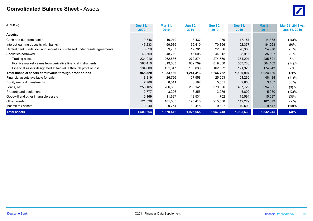#### **Consolidated Balance Sheet -** Assets $\mathbf S$

| $(ln$ EUR $m.$ )                                                         | <b>Dec 31.</b><br>2009 | <b>Mar 31,</b><br>2010 | <b>Jun 30,</b><br>2010 | <b>Sep 30,</b><br>2010 | Dec 31,<br>2010 | <b>Mar 31,</b><br>2011 | Mar 31, 2011 vs.<br>Dec 31, 2010 |
|--------------------------------------------------------------------------|------------------------|------------------------|------------------------|------------------------|-----------------|------------------------|----------------------------------|
| <b>Assets:</b>                                                           |                        |                        |                        |                        |                 |                        |                                  |
|                                                                          |                        |                        |                        |                        |                 |                        |                                  |
| Cash and due from banks                                                  | 9,346                  | 10,010                 | 13,437                 | 11,989                 | 17,157          | 14,338                 | (16)%                            |
| Interest-earning deposits with banks                                     | 47,233                 | 59,985                 | 66,410                 | 70,856                 | 92,377          | 84,263                 | (9)%                             |
| Central bank funds sold and securities purchased under resale agreements | 6,820                  | 9,757                  | 12,781                 | 22,596                 | 20,365          | 24,978                 | 23 %                             |
| Securities borrowed                                                      | 43,509                 | 48,760                 | 46,008                 | 44,812                 | 28,916          | 35,397                 | 22 %                             |
| Trading assets                                                           | 234,910                | 262,886                | 272,874                | 274,560                | 271,291         | 285,621                | 5%                               |
| Positive market values from derivative financial instruments             | 596,410                | 619,633                | 802,709                | 819,830                | 657,780         | 564,102                | (14)%                            |
| Financial assets designated at fair value through profit or loss         | 134,000                | 151,647                | 165,830                | 162,362                | 171,926         | 174,943                | 2%                               |
| Total financial assets at fair value through profit or loss              | 965,320                | 1,034,166              | 1,241,413              | 1,256,752              | 1,100,997       | 1,024,666              | (7)%                             |
| Financial assets available for sale                                      | 18,819                 | 26,726                 | 27,558                 | 25,553                 | 54,266          | 48,434                 | (11)%                            |
| Equity method investments                                                | 7,788                  | 8,011                  | 8,192                  | 5,551                  | 2,608           | 3,467                  | 33%                              |
| Loans, net                                                               | 258,105                | 266,835                | 288,141                | 279,826                | 407,729         | 394,335                | $(3)\%$                          |
| Property and equipment                                                   | 2,777                  | 3,226                  | 3,356                  | 3,276                  | 5,802           | 5,050                  | (13)%                            |
| Goodwill and other intangible assets                                     | 10,169                 | 11,627                 | 12,531                 | 11,702                 | 15,594          | 15,097                 | $(3)\%$                          |
| Other assets                                                             | 121,538                | 181,585                | 195,410                | 215,508                | 149,229         | 182,673                | 22 %                             |
| Income tax assets                                                        | 9,240                  | 9,754                  | 10,418                 | 9,327                  | 10,590          | 9,547                  | $(10)\%$                         |
| <b>Total assets</b>                                                      | 1,500,664              | 1,670,442              | 1,925,655              | 1,957,748              | 1,905,630       | 1,842,245              | $(3)\%$                          |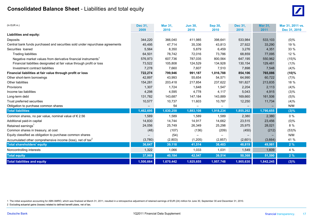## **Consolidated Balance Sheet** - Liabilities and total equity <sup>0</sup>



| $(ln$ EUR $m.$ )                                                             | Dec 31,           | Mar 31,   | <b>Jun 30,</b> | <b>Sep 30,</b> | Dec 31,   | <b>Mar 31.</b> | Mar 31, 2011 vs. |
|------------------------------------------------------------------------------|-------------------|-----------|----------------|----------------|-----------|----------------|------------------|
|                                                                              | 2009              | 2010      | 2010           | 2010           | 2010      | 2011           | Dec 31, 2010     |
| Liabilities and equity:                                                      |                   |           |                |                |           |                |                  |
| Deposits                                                                     | 344,220           | 366,040   | 411,985        | 398,641        | 533,984   | 533,103        | $(0)\%$          |
| Central bank funds purchased and securities sold under repurchase agreements | 45,495            | 47,714    | 35,336         | 43,813         | 27,922    | 33,290         | 19 %             |
| Securities loaned                                                            | 5,564             | 8,350     | 5,879          | 6,459          | 3,276     | 4,351          | 33 %             |
| <b>Trading liabilities</b>                                                   | 64,501            | 78,742    | 72,016         | 73,786         | 68,859    | 77,095         | 12 %             |
| Negative market values from derivative financial instruments <sup>1</sup>    | 576,973           | 607,736   | 787,035        | 800,564        | 647,195   | 550,962        | (15)%            |
| Financial liabilities designated at fair value through profit or loss        | 73,522            | 105,808   | 124,529        | 134,928        | 130,154   | 129,481        | (1)%             |
| Investment contract liabilities                                              | 7,278             | 7,660     | 7,607          | 7,510          | 7,898     | 7,548          | (4)%             |
| Financial liabilities at fair value through profit or loss                   | 722,274           | 799,946   | 991,187        | 1,016,788      | 854,106   | 765,086        | $(10)\%$         |
| Other short-term borrowings                                                  | 42,897            | 43,993    | 55,654         | 54,571         | 64,990    | 60,722         | (7)%             |
| Other liabilities                                                            | 154,281           | 203,418   | 217,854        | 237,622        | 181,827   | 213,835        | 18 %             |
| Provisions                                                                   | 1,307             | 1,724     | 1,648          | 1,547          | 2,204     | 2,113          | (4)%             |
| Income tax liabilities                                                       | 4,298             | 4,595     | 4,778          | 4,117          | 5,043     | 4,915          | (3)%             |
| Long-term debt                                                               | 131,782           | 143,687   | 147,184        | 143,889        | 169,660   | 161,506        | (5)%             |
| Trust preferred securities                                                   | 10,577            | 10,737    | 11,603         | 10,787         | 12,250    | 11,734         | (4)%             |
| Obligation to purchase common shares                                         | $\qquad \qquad -$ | 54        |                |                |           | $-$            | N/M              |
| <b>Total liabilities</b>                                                     | 1,462,695         | 1,630,258 | 1,883,108      | 1,918,234      | 1,855,262 | 1,790,655      | (3)%             |
| Common shares, no par value, nominal value of $\epsilon$ 2.56                | 1,589             | 1,589     | 1,589          | 1,589          | 2,380     | 2,380          | $0\%$            |
| Additional paid-in capital                                                   | 14,830            | 14,744    | 14,917         | 14,662         | 23,515    | 23,456         | $(0)\%$          |
| Retained earnings <sup>1</sup>                                               | 24,056            | 25,749    | 26,349         | 25,298         | 25,975    | 28,021         | 8 %              |
| Common shares in treasury, at cost                                           | (48)              | (107)     | (136)          | (209)          | (450)     | (212)          | (53)%            |
| Equity classified as obligation to purchase common shares                    |                   | (54)      |                |                |           |                | N/M              |
| Accumulated other comprehensive income (loss), net of tax <sup>2</sup>       | (3,780)           | (2,803)   | (1,205)        | (2, 857)       | (2,601)   | (3,664)        | 41 %             |
| <b>Total shareholders' equity</b>                                            | 36,647            | 39,118    | 41,514         | 38,483         | 48,819    | 49,981         | 2%               |
| Noncontrolling interests                                                     | 1,322             | 1,066     | 1,033          | 1,031          | 1,549     | 1,609          | 4 %              |
| <b>Total equity</b>                                                          | 37,969            | 40,184    | 42,547         | 39,514         | 50,368    | 51,590         | 2%               |
| <b>Total liabilities and equity</b>                                          | 1,500,664         | 1,670,442 | 1,925,655      | 1,957,748      | 1,905,630 | 1,842,245      | (3)%             |

1 The initial acquisition accounting for ABN AMRO, which was finalized at March 31, 2011, resulted in a retrospective adjustment of retained earnings of EUR (24) million for June 30, September 30 and December 31, 2010.

2 Excluding actuarial gains (losses) related to defined benefit plans, net of tax.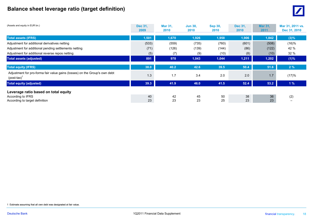# **Balance sheet leverage ratio (target definition)** <sup>0</sup>



| (Assets and equity in EUR bn.)                                                               | <b>Dec 31,</b><br>2009 | <b>Mar 31,</b><br>2010 | <b>Jun 30.</b><br>2010 | <b>Sep 30,</b><br>2010 | Dec 31,<br>2010 | <b>Mar 31.</b><br>2011 | Mar 31, 2011 vs.<br>Dec 31, 2010 |
|----------------------------------------------------------------------------------------------|------------------------|------------------------|------------------------|------------------------|-----------------|------------------------|----------------------------------|
| <b>Total assets (IFRS)</b>                                                                   | 1,501                  | 1,670                  | 1,926                  | 1,958                  | 1,906           | 1,842                  | (3)%                             |
| Adjustment for additional derivatives netting                                                | (533)                  | (559)                  | (735)                  | (760)                  | (601)           | (508)                  | (16)%                            |
| Adjustment for additional pending settlements netting                                        | (71)                   | (126)                  | (139)                  | (144)                  | (86)            | (122)                  | 42 %                             |
| Adjustment for additional reverse repos netting                                              | (5)                    | (7)                    | (9)                    | (10)                   | (8)             | (10)                   | 32 %                             |
| <b>Total assets (adjusted)</b>                                                               | 891                    | 978                    | 1,043                  | 1,044                  | 1,211           | 1,202                  | (1)%                             |
| <b>Total equity (IFRS)</b>                                                                   | 38.0                   | 40.2                   | 42.6                   | 39.5                   | 50.4            | 51.6                   | 2%                               |
| Adjustment for pro-forma fair value gains (losses) on the Group's own debt<br>$(post-tax)^1$ | 1.3                    | 1.7                    | 3.4                    | 2.0                    | 2.0             | 1.7                    | (17)%                            |
| <b>Total equity (adjusted)</b>                                                               | 39.3                   | 41.9                   | 46.0                   | 41.5                   | 52.4            | 53.2                   | 1%                               |
| Leverage ratio based on total equity                                                         |                        |                        |                        |                        |                 |                        |                                  |
| According to IFRS<br>According to target definition                                          | 40<br>23               | 42<br>23               | 45<br>23               | 50<br>25               | 38<br>23        | 36<br>23               | (2)                              |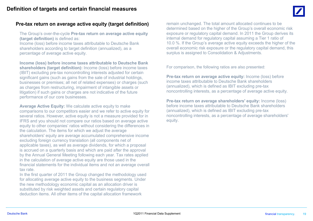## **Pre-tax return on average active equity (target definition)**

The Group's over-the-cycle **Pre-tax return on average active equity (target definition)** is defined as:

Income (loss) before income taxes attributable to Deutsche Bank shareholders according to target definition (annualized), as a percentage of average active equity.

**Income (loss) before income taxes attributable to Deutsche Bank shareholders (target definition):** Income (loss) before income taxes (IBIT) excluding pre-tax noncontrolling interests adjusted for certain significant gains (such as gains from the sale of industrial holdings, businesses or premises; all net of related expenses) or charges (such as charges from restructuring, impairment of intangible assets or litigation) if such gains or charges are not indicative of the future performance of our core businesses.

**Average Active Equity:** We calculate active equity to make comparisons to our competitors easier and we refer to active equity for several ratios. However, active equity is not a measure provided for in IFRS and you should not compare our ratios based on average active equity to other companies' ratios without considering the differences in the calculation. The items for which we adjust the average shareholders' equity are average accumulated comprehensive income excluding foreign currency translation (all components net of applicable taxes), as well as average dividends, for which a proposal is accrued on a quarterly basis and which are paid after the approval by the Annual General Meeting following each year. Tax rates applied in the calculation of average active equity are those used in the financial statements for the individual items and not an average overall tax rate.

In the first quarter of 2011 the Group changed the methodology used for allocating average active equity to the business segments. Under the new methodology economic capital as an allocation driver is substituted by risk weighted assets and certain regulatory capital deduction items. All other items of the capital allocation framework

remain unchanged. The total amount allocated continues to be determined based on the higher of the Group's overall economic risk exposure or regulatory capital demand. In 2011 the Group derives its internal demand for regulatory capital assuming a Tier 1 ratio of 10.0 %. If the Group's average active equity exceeds the higher of the overall economic risk exposure or the regulatory capital demand, this surplus is assigned to Consolidation & Adjustments.

For comparison, the following ratios are also presented:

**Pre-tax return on average active equity:** Income (loss) before income taxes attributable to Deutsche Bank shareholders (annualized), which is defined as IBIT excluding pre-tax noncontrolling interests, as a percentage of average active equity.

**Pre-tax return on average shareholders' equity:** Income (loss) before income taxes attributable to Deutsche Bank shareholders (annualized) which is defined as IBIT excluding pre tax (annualized), which is defined as IBIT excluding pre-tax noncontrolling interests, as a percentage of average shareholders' equity.